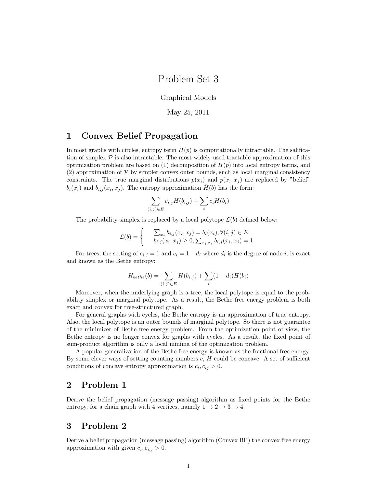## Problem Set 3

Graphical Models

May 25, 2011

#### 1 Convex Belief Propagation

In most graphs with circles, entropy term  $H(p)$  is computationally intractable. The salification of simplex  $\mathcal P$  is also intractable. The most widely used tractable approximation of this optimization problem are based on  $(1)$  decomposition of  $H(p)$  into local entropy terms, and  $(2)$  approximation of  $P$  by simpler convex outer bounds, such as local marginal consistency constraints. The true marginal distributions  $p(x_i)$  and  $p(x_i, x_j)$  are replaced by "belief"  $b_i(x_i)$  and  $b_{i,j}(x_i, x_j)$ . The entropy approximation  $\hat{H}(b)$  has the form:

$$
\sum_{(i,j)\in E} c_{i,j} H(b_{i,j}) + \sum_i c_i H(b_i)
$$

The probability simplex is replaced by a local polytope  $\mathcal{L}(b)$  defined below:

$$
\mathcal{L}(b) = \begin{cases} \sum_{x_j} b_{i,j}(x_i, x_j) = b_i(x_i), \forall (i, j) \in E \\ b_{i,j}(x_i, x_j) \ge 0, \sum_{x_i, x_j} b_{i,j}(x_i, x_j) = 1 \end{cases}
$$

For trees, the setting of  $c_{i,j} = 1$  and  $c_i = 1 - d_i$  where  $d_i$  is the degree of node i, is exact and known as the Bethe entropy:

$$
H_{bethe}(b) = \sum_{(i,j)\in E} H(b_{i,j}) + \sum_{i} (1 - d_i)H(b_i)
$$

Moreover, when the underlying graph is a tree, the local polytope is equal to the probability simplex or marginal polytope. As a result, the Bethe free energy problem is both exact and convex for tree-structured graph.

For general graphs with cycles, the Bethe entropy is an approximation of true entropy. Also, the local polytope is an outer bounds of marginal polytope. So there is not guarantee of the minimizer of Bethe free energy problem. From the optimization point of view, the Bethe entropy is no longer convex for graphs with cycles. As a result, the fixed point of sum-product algorithm is only a local minima of the optimization problem.

A popular generalization of the Bethe free energy is known as the fractional free energy. By some clever ways of setting counting numbers  $c, H$  could be concave. A set of sufficient conditions of concave entropy approximation is  $c_i, c_{ij} > 0$ .

## 2 Problem 1

Derive the belief propagation (message passing) algorithm as fixed points for the Bethe entropy, for a chain graph with 4 vertices, namely  $1 \rightarrow 2 \rightarrow 3 \rightarrow 4$ .

### 3 Problem 2

Derive a belief propagation (message passing) algorithm (Convex BP) the convex free energy approximation with given  $c_i, c_{i,j} > 0$ .